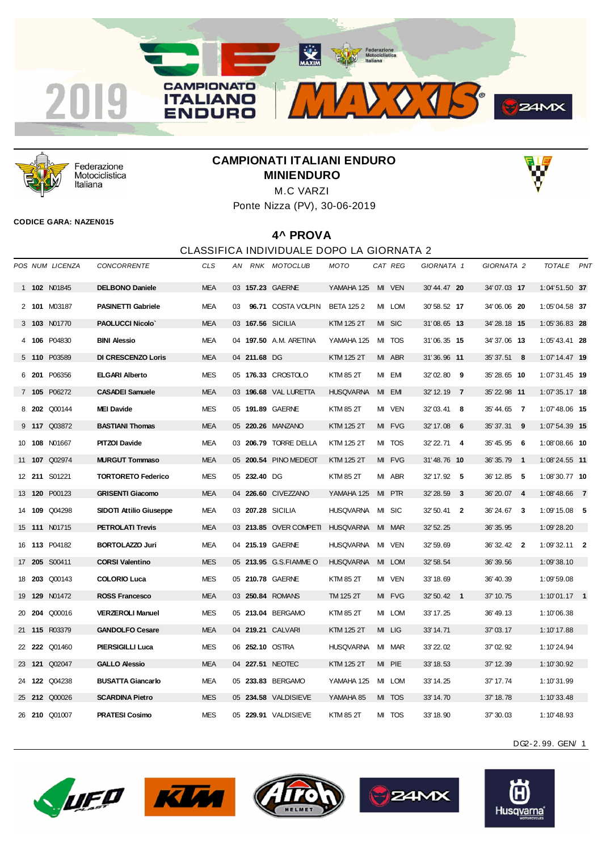



Federazione Motociclistica Italiana

# **CAMPIONATI ITALIANI ENDURO MINIENDURO**



Ponte Nizza (PV), 30-06-2019

#### **CODICE GARA: NAZEN015**

#### **4^ PROVA**

#### CLASSIFICA INDIVIDUALE DOPO LA GIORNATA 2

|  | POS NUM LICENZA      | <b>CONCORRENTE</b>             | CLS        | AN |              | RNK MOTOCLUB           | MOTO             |    | CAT REG    | GIORNATA 1   |                  | GIORNATA 2   |     | TOTALE          | <b>PNT</b> |
|--|----------------------|--------------------------------|------------|----|--------------|------------------------|------------------|----|------------|--------------|------------------|--------------|-----|-----------------|------------|
|  | 1 102 N01845         | <b>DELBONO Daniele</b>         | <b>MEA</b> |    |              | 03 157.23 GAERNE       | YAMAHA 125       |    | MI VEN     | 30'44.47 20  |                  | 34'07.03 17  |     | 1:04'51.50 37   |            |
|  | 2 101 M03187         | <b>PASINETTI Gabriele</b>      | <b>MEA</b> | 03 |              | 96.71 COSTA VOLPIN     | <b>BETA 1252</b> |    | MI LOM     | 30' 58.52 17 |                  | 34'06.06 20  |     | 1:05'04.58 37   |            |
|  | 3 103 N01770         | <b>PAOLUCCI Nicolo'</b>        | <b>MEA</b> |    |              | 03 167.56 SICILIA      | KTM 125 2T       |    | MI SIC     | 31'08.65 13  |                  | 34'28.18 15  |     | $1:05'36.83$ 28 |            |
|  | 4 106 P04830         | <b>BINI Alessio</b>            | <b>MEA</b> |    |              | 04 197.50 A.M. ARETINA | YAMAHA 125       | MI | <b>TOS</b> | 31'06.35 15  |                  | 34'37.06 13  |     | $1:05'43.41$ 28 |            |
|  | 5 110 P03589         | <b>DI CRESCENZO Loris</b>      | <b>MEA</b> |    | 04 211.68 DG |                        | KTM 125 2T       |    | MI ABR     | 31'36.96 11  |                  | 35' 37.51 8  |     | $1:07'14.47$ 19 |            |
|  | 6 201 P06356         | <b>ELGARI Alberto</b>          | <b>MES</b> |    |              | 05 176.33 CROSTOLO     | KTM 85 2T        |    | MI EMI     | 32'02.80 9   |                  | 35'28.65 10  |     | 1:07'31.45 19   |            |
|  | 7 105 P06272         | <b>CASADEI Samuele</b>         | <b>MEA</b> |    |              | 03 196.68 VAL LURETTA  | <b>HUSQVARNA</b> |    | MI EMI     | 32' 12.19 7  |                  | 35' 22.98 11 |     | $1:07'35.17$ 18 |            |
|  | 8 202 Q00144         | <b>MEI Davide</b>              | <b>MES</b> |    |              | 05 191.89 GAERNE       | KTM 85 2T        |    | MI VEN     | 32'03.41 8   |                  | 35'44.65 7   |     | $1:07'48.06$ 15 |            |
|  | 9 117 Q03872         | <b>BASTIANI Thomas</b>         | <b>MEA</b> |    |              | 05 220.26 MANZANO      | KTM 125 2T       | MI | <b>FVG</b> | 32' 17.08    | $6\phantom{.0}6$ | 35' 37.31    | - 9 | $1:07'54.39$ 15 |            |
|  | 10 108 N01667        | <b>PITZOI Davide</b>           | MEA        |    |              | 03 206.79 TORRE DELLA  | KTM 125 2T       |    | MI TOS     | 32' 22.71 4  |                  | 35'45.95 6   |     | $1:08'08.66$ 10 |            |
|  | 11 <b>107</b> Q02974 | <b>MURGUT Tommaso</b>          | <b>MEA</b> |    |              | 05 200.54 PINO MEDEOT  | KTM 125 2T       |    | MI FVG     | 31'48.76 10  |                  | 36' 35.79 1  |     | $1:08'24.55$ 11 |            |
|  | 12 211 S01221        | <b>TORTORETO Federico</b>      | <b>MES</b> |    | 05 232.40 DG |                        | KTM 85 2T        |    | MI ABR     | 32' 17.92 5  |                  | 36' 12.85 5  |     | $1:08'30.77$ 10 |            |
|  | 13 120 P00123        | <b>GRISENTI Giacomo</b>        | <b>MEA</b> |    |              | 04 226.60 CIVEZZANO    | YAMAHA 125       |    | MI PTR     | 32' 28.59 3  |                  | 36'20.07 4   |     | $1:08'48.66$ 7  |            |
|  | 14 109 Q04298        | <b>SIDOTI Attilio Giuseppe</b> | <b>MEA</b> |    |              | 03 207.28 SICILIA      | <b>HUSQVARNA</b> |    | MI SIC     | $32'50.41$ 2 |                  | 36'24.67 3   |     | $1:09'15.08$ 5  |            |
|  | 15 <b>111 N01715</b> | <b>PETROLATI Trevis</b>        | <b>MEA</b> |    |              | 03 213.85 OVER COMPETI | <b>HUSQVARNA</b> | MI | <b>MAR</b> | 32' 52.25    |                  | 36' 35.95    |     | 1:09'28.20      |            |
|  | 16 113 P04182        | <b>BORTOLAZZO Juri</b>         | <b>MEA</b> |    |              | 04 215.19 GAERNE       | <b>HUSQVARNA</b> |    | MI VEN     | 32' 59.69    |                  | 36' 32.42 2  |     | $1:09'32.11$ 2  |            |
|  | 17 205 S00411        | <b>CORSI Valentino</b>         | <b>MES</b> |    |              | 05 213.95 G.S.FIAMMEO  | <b>HUSQVARNA</b> | MI | <b>LOM</b> | 32' 58.54    |                  | 36' 39.56    |     | 1:09'38.10      |            |
|  | 18 203 Q00143        | <b>COLORIO Luca</b>            | <b>MES</b> |    |              | 05 210.78 GAERNE       | KTM 85 2T        |    | MI VEN     | 33' 18.69    |                  | 36' 40.39    |     | 1:09'59.08      |            |
|  | 19 <b>129</b> N01472 | <b>ROSS Francesco</b>          | <b>MEA</b> |    |              | 03 250.84 ROMANS       | TM 125 2T        |    | MI FVG     | 32' 50.42 1  |                  | 37' 10.75    |     | $1:10'01.17$ 1  |            |
|  | 20 204 Q00016        | <b>VERZEROLI Manuel</b>        | <b>MES</b> |    |              | 05 213.04 BERGAMO      | KTM 85 2T        |    | MI LOM     | 33' 17.25    |                  | 36' 49.13    |     | 1:10'06.38      |            |
|  | 21 115 R03379        | <b>GANDOLFO Cesare</b>         | <b>MEA</b> |    |              | 04 219.21 CALVARI      | KTM 125 2T       |    | MI LIG     | 33' 14.71    |                  | 37' 03.17    |     | 1:10'17.88      |            |
|  | 22 222 Q01460        | <b>PIERSIGILLI Luca</b>        | <b>MES</b> |    |              | 06 252.10 OSTRA        | HUSQVARNA        |    | MI MAR     | 33' 22.02    |                  | 37' 02.92    |     | 1:10'24.94      |            |
|  | 23 121 Q02047        | <b>GALLO Alessio</b>           | <b>MEA</b> |    |              | 04 227.51 NEOTEC       | KTM 125 2T       |    | MI PIE     | 33' 18.53    |                  | 37' 12.39    |     | 1:10'30.92      |            |
|  | 24 122 Q04238        | <b>BUSATTA Giancarlo</b>       | <b>MEA</b> |    |              | 05 233.83 BERGAMO      | YAMAHA 125       | MI | <b>LOM</b> | 33' 14.25    |                  | 37' 17.74    |     | 1:10'31.99      |            |
|  | 25 212 Q00026        | <b>SCARDINA Pietro</b>         | <b>MES</b> |    |              | 05 234.58 VALDISIEVE   | YAMAHA 85        |    | MI TOS     | 33' 14.70    |                  | 37' 18.78    |     | 1:10'33.48      |            |
|  | 26 210 Q01007        | <b>PRATESI Cosimo</b>          | <b>MES</b> |    |              | 05 229.91 VALDISIEVE   | KTM 85 2T        |    | MI TOS     | 33' 18.90    |                  | 37' 30.03    |     | 1:10'48.93      |            |









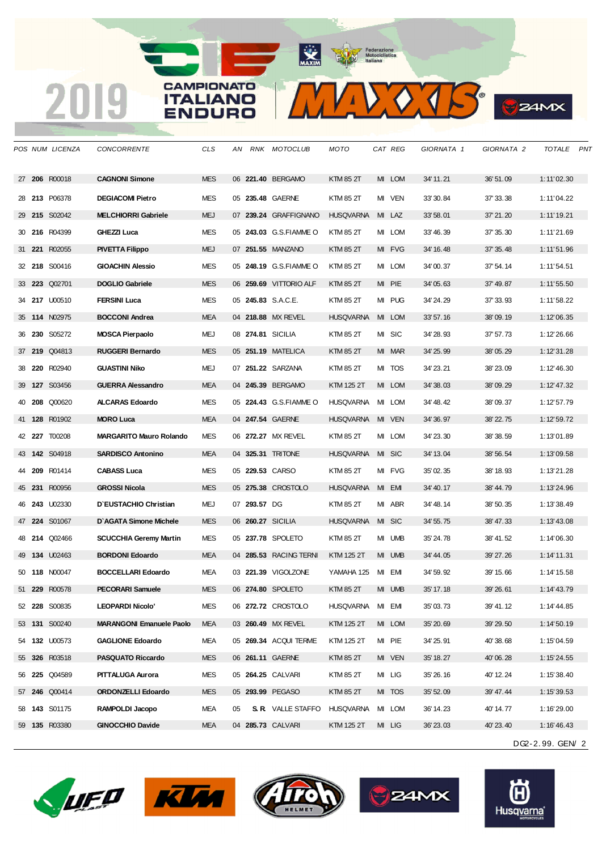*POS NUM LICENZA CONCORRENTE CLS AN RNK MOTOCLUB MOTO CAT REG GIORNATA 1 GIORNATA 2 TOTALE PNT* **206** R00018 **CAGNONI Simone** MES 06 **221.40** BERGAMO KTM 85 2T MI LOM 34' 11.21 36' 51.09 1:11'02.30 **213** P06378 **DEGIACOMI Pietro** MES 05 **235.48** GAERNE KTM 85 2T MI VEN 33' 30.84 37' 33.38 1:11'04.22 **215** S02042 **MELCHIORRI Gabriele** MEJ 07 **239.24** GRAFFIGNANO HUSQVARNA MI LAZ 33' 58.01 37' 21.20 1:11'19.21 **216** R04399 **GHEZZI Luca** MES 05 **243.03** G.S.FIAMME O KTM 85 2T MI LOM 33' 46.39 37' 35.30 1:11'21.69 **221** R02055 **PIVETTA Filippo** MEJ 07 **251.55** MANZANO KTM 85 2T MI FVG 34' 16.48 37' 35.48 1:11'51.96 **218** S00416 **GIOACHIN Alessio** MES 05 **248.19** G.S.FIAMME O KTM 85 2T MI LOM 34' 00.37 37' 54.14 1:11'54.51 **223** Q02701 **DOGLIO Gabriele** MES 06 **259.69** VITTORIO ALF KTM 85 2T MI PIE 34' 05.63 37' 49.87 1:11'55.50 **217** U00510 **FERSINI Luca** MES 05 **245.83** S.A.C.E. KTM 85 2T MI PUG 34' 24.29 37' 33.93 1:11'58.22 **114** N02975 **BOCCONI Andrea** MEA 04 **218.88** MX REVEL HUSQVARNA MI LOM 33' 57.16 38' 09.19 1:12'06.35 **230** S05272 **MOSCA Pierpaolo** MEJ 08 **274.81** SICILIA KTM 85 2T MI SIC 34' 28.93 37' 57.73 1:12'26.66 **219** Q04813 **RUGGERI Bernardo** MES 05 **251.19** MATELICA KTM 85 2T MI MAR 34' 25.99 38' 05.29 1:12'31.28 **220** R02940 **GUASTINI Niko** MEJ 07 **251.22** SARZANA KTM 85 2T MI TOS 34' 23.21 38' 23.09 1:12'46.30 **127** S03456 **GUERRA Alessandro** MEA 04 **245.39** BERGAMO KTM 125 2T MI LOM 34' 38.03 38' 09.29 1:12'47.32 **208** Q00620 **ALCARAS Edoardo** MES 05 **224.43** G.S.FIAMME O HUSQVARNA MI LOM 34' 48.42 38' 09.37 1:12'57.79 **128** R01902 **MORO Luca** MEA 04 **247.54** GAERNE HUSQVARNA MI VEN 34' 36.97 38' 22.75 1:12'59.72 **227** T00208 **MARGARITO Mauro Rolando** MES 06 **272.27** MX REVEL KTM 85 2T MI LOM 34' 23.30 38' 38.59 1:13'01.89 **142** S04918 **SARDISCO Antonino** MEA 04 **325.31** TRITONE HUSQVARNA MI SIC 34' 13.04 38' 56.54 1:13'09.58 **209** R01414 **CABASS Luca** MES 05 **229.53** CARSO KTM 85 2T MI FVG 35' 02.35 38' 18.93 1:13'21.28 **231** R00956 **GROSSI Nicola** MES 05 **275.38** CROSTOLO HUSQVARNA MI EMI 34' 40.17 38' 44.79 1:13'24.96 **243** U02330 **D`EUSTACHIO Christian** MEJ 07 **293.57** DG KTM 85 2T MI ABR 34' 48.14 38' 50.35 1:13'38.49 **224** S01067 **D`AGATA Simone Michele** MES 06 **260.27** SICILIA HUSQVARNA MI SIC 34' 55.75 38' 47.33 1:13'43.08 **214** Q02466 **SCUCCHIA Geremy Martin** MES 05 **237.78** SPOLETO KTM 85 2T MI UMB 35' 24.78 38' 41.52 1:14'06.30 **134** U02463 **BORDONI Edoardo** MEA 04 **285.53** RACING TERNI KTM 125 2T MI UMB 34' 44.05 39' 27.26 1:14'11.31 **118** N00047 **BOCCELLARI Edoardo** MEA 03 **221.39** VIGOLZONE YAMAHA 125 MI EMI 34' 59.92 39' 15.66 1:14'15.58 **229** R00578 **PECORARI Samuele** MES 06 **274.80** SPOLETO KTM 85 2T MI UMB 35' 17.18 39' 26.61 1:14'43.79 **228** S00835 **LEOPARDI Nicolo'** MES 06 **272.72** CROSTOLO HUSQVARNA MI EMI 35' 03.73 39' 41.12 1:14'44.85 **131** S00240 **MARANGONI Emanuele Paolo** MEA 03 **260.49** MX REVEL KTM 125 2T MI LOM 35' 20.69 39' 29.50 1:14'50.19 **132** U00573 **GAGLIONE Edoardo** MEA 05 **269.34** ACQUI TERME KTM 125 2T MI PIE 34' 25.91 40' 38.68 1:15'04.59 **326** R03518 **PASQUATO Riccardo** MES 06 **261.11** GAERNE KTM 85 2T MI VEN 35' 18.27 40' 06.28 1:15'24.55 **225** Q04589 **PITTALUGA Aurora** MES 05 **264.25** CALVARI KTM 85 2T MI LIG 35' 26.16 40' 12.24 1:15'38.40 **246** Q00414 **ORDONZELLI Edoardo** MES 05 **293.99** PEGASO KTM 85 2T MI TOS 35' 52.09 39' 47.44 1:15'39.53 **143** S01175 **RAMPOLDI Jacopo** MEA 05 **S. R.** VALLE STAFFO HUSQVARNA MI LOM 36' 14.23 40' 14.77 1:16'29.00 **135** R03380 **GINOCCHIO Davide** MEA 04 **285.73** CALVARI KTM 125 2T MI LIG 36' 23.03 40' 23.40 1:16'46.43

**ALL AND REAL** 

 $\sum$   $\left\{\right\}$   $\left\{\right\}$ 

**24MX** 









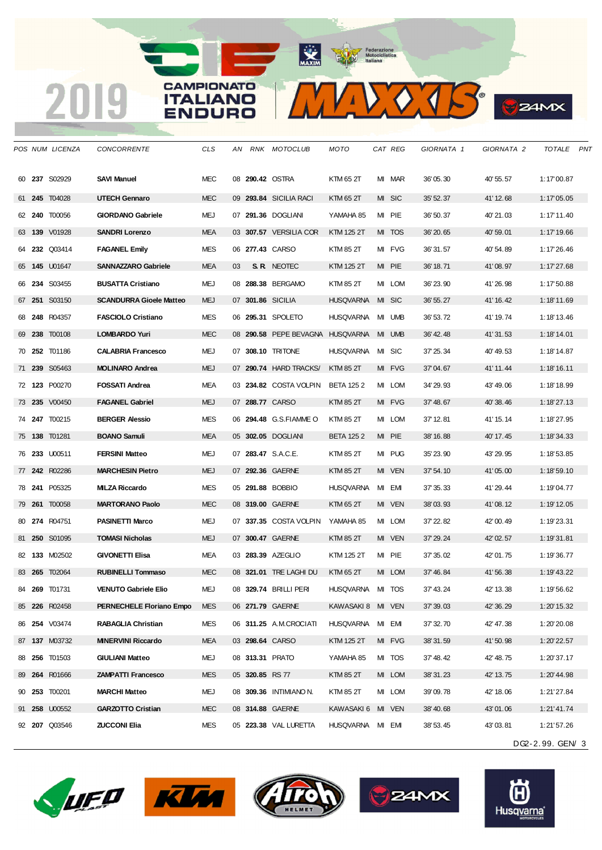*POS NUM LICENZA CONCORRENTE CLS AN RNK MOTOCLUB MOTO CAT REG GIORNATA 1 GIORNATA 2 TOTALE PNT* **237** S02929 **SAVI Manuel** MEC 08 **290.42** OSTRA KTM 65 2T MI MAR 36' 05.30 40' 55.57 1:17'00.87 **245** T04028 **UTECH Gennaro** MEC 09 **293.84** SICILIA RACI KTM 65 2T MI SIC 35' 52.37 41' 12.68 1:17'05.05 **240** T00056 **GIORDANO Gabriele** MEJ 07 **291.36** DOGLIANI YAMAHA 85 MI PIE 36' 50.37 40' 21.03 1:17'11.40 **139** V01928 **SANDRI Lorenzo** MEA 03 **307.57** VERSILIA COR KTM 125 2T MI TOS 36' 20.65 40' 59.01 1:17'19.66 **232** Q03414 **FAGANEL Emily** MES 06 **277.43** CARSO KTM 85 2T MI FVG 36' 31.57 40' 54.89 1:17'26.46 **145** U01647 **SANNAZZARO Gabriele** MEA 03 **S. R.** NEOTEC KTM 125 2T MI PIE 36' 18.71 41' 08.97 1:17'27.68 **234** S03455 **BUSATTA Cristiano** MEJ 08 **288.38** BERGAMO KTM 85 2T MI LOM 36' 23.90 41' 26.98 1:17'50.88 **251** S03150 **SCANDURRA Gioele Matteo** MEJ 07 **301.86** SICILIA HUSQVARNA MI SIC 36' 55.27 41' 16.42 1:18'11.69 **248** R04357 **FASCIOLO Cristiano** MES 06 **295.31** SPOLETO HUSQVARNA MI UMB 36' 53.72 41' 19.74 1:18'13.46 **238** T00108 **LOMBARDO Yuri** MEC 08 **290.58** PEPE BEVAGNA HUSQVARNA MI UMB 36' 42.48 41' 31.53 1:18'14.01 **252** T01186 **CALABRIA Francesco** MEJ 07 **308.10** TRITONE HUSQVARNA MI SIC 37' 25.34 40' 49.53 1:18'14.87 **239** S05463 **MOLINARO Andrea** MEJ 07 **290.74** HARD TRACKS/ KTM 85 2T MI FVG 37' 04.67 41' 11.44 1:18'16.11 **123** P00270 **FOSSATI Andrea** MEA 03 **234.82** COSTA VOLPIN BETA 125 2 MI LOM 34' 29.93 43' 49.06 1:18'18.99 **235** V00450 **FAGANEL Gabriel** MEJ 07 **288.77** CARSO KTM 85 2T MI FVG 37' 48.67 40' 38.46 1:18'27.13 **247** T00215 **BERGER Alessio** MES 06 **294.48** G.S.FIAMME O KTM 85 2T MI LOM 37' 12.81 41' 15.14 1:18'27.95 **138** T01281 **BOANO Samuli** MEA 05 **302.05** DOGLIANI BETA 125 2 MI PIE 38' 16.88 40' 17.45 1:18'34.33 **233** U00511 **FERSINI Matteo** MEJ 07 **283.47** S.A.C.E. KTM 85 2T MI PUG 35' 23.90 43' 29.95 1:18'53.85 **242** R02286 **MARCHESIN Pietro** MEJ 07 **292.36** GAERNE KTM 85 2T MI VEN 37' 54.10 41' 05.00 1:18'59.10 **241** P05325 **MILZA Riccardo** MES 05 **291.88** BOBBIO HUSQVARNA MI EMI 37' 35.33 41' 29.44 1:19'04.77 **261** T00058 **MARTORANO Paolo** MEC 08 **319.00** GAERNE KTM 65 2T MI VEN 38' 03.93 41' 08.12 1:19'12.05 **274** R04751 **PASINETTI Marco** MEJ 07 **337.35** COSTA VOLPIN YAMAHA 85 MI LOM 37' 22.82 42' 00.49 1:19'23.31 **250** S01095 **TOMASI Nicholas** MEJ 07 **300.47** GAERNE KTM 85 2T MI VEN 37' 29.24 42' 02.57 1:19'31.81 **133** M02502 **GIVONETTI Elisa** MEA 03 **283.39** AZEGLIO KTM 125 2T MI PIE 37' 35.02 42' 01.75 1:19'36.77 **265** T02064 **RUBINELLI Tommaso** MEC 08 **321.01** TRE LAGHI DU KTM 65 2T MI LOM 37' 46.84 41' 56.38 1:19'43.22 **269** T01731 **VENUTO Gabriele Elio** MEJ 08 **329.74** BRILLI PERI HUSQVARNA MI TOS 37' 43.24 42' 13.38 1:19'56.62 **226** R02458 **PERNECHELE Floriano Empo** MES 06 **271.79** GAERNE KAWASAKI 8 MI VEN 37' 39.03 42' 36.29 1:20'15.32 **254** V03474 **RABAGLIA Christian** MES 06 **311.25** A.M.CROCIATI HUSQVARNA MI EMI 37' 32.70 42' 47.38 1:20'20.08 **137** M03732 **MINERVINI Riccardo** MEA 03 **298.64** CARSO KTM 125 2T MI FVG 38' 31.59 41' 50.98 1:20'22.57 **256** T01503 **GIULIANI Matteo** MEJ 08 **313.31** PRATO YAMAHA 85 MI TOS 37' 48.42 42' 48.75 1:20'37.17 **264** R01666 **ZAMPATTI Francesco** MES 05 **320.85** RS 77 KTM 85 2T MI LOM 38' 31.23 42' 13.75 1:20'44.98 **253** T00201 **MARCHI Matteo** MEJ 08 **309.36** INTIMIANO N. KTM 85 2T MI LOM 39' 09.78 42' 18.06 1:21'27.84 **258** U00552 **GARZOTTO Cristian** MEC 08 **314.88** GAERNE KAWASAKI 6 MI VEN 38' 40.68 43' 01.06 1:21'41.74 **207** Q03546 **ZUCCONI Elia** MES 05 **223.38** VAL LURETTA HUSQVARNA MI EMI 38' 53.45 43' 03.81 1:21'57.26

**ALLEY IN** 

 $20.15$ 

**24MX** 









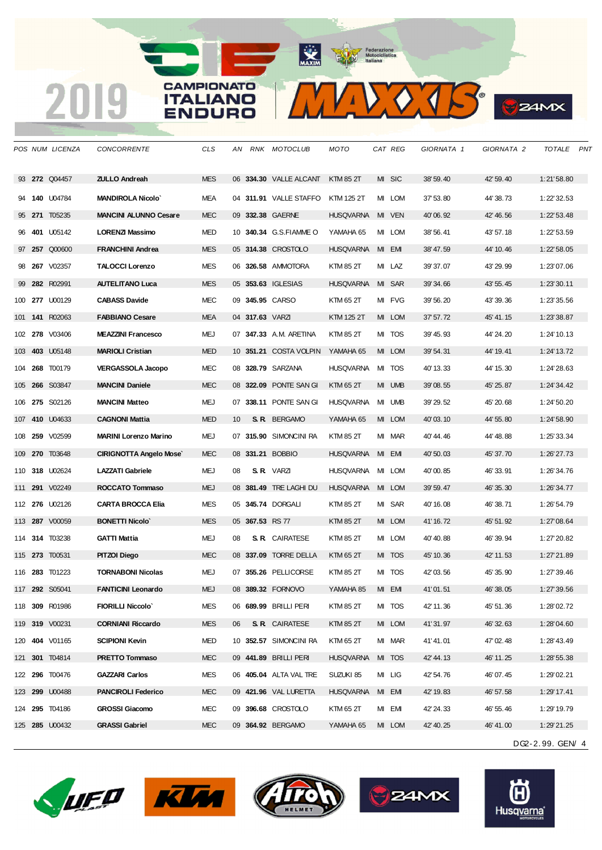**272** Q04457 **ZULLO Andreah** MES 06 **334.30** VALLE ALCANT KTM 85 2T MI SIC 38' 59.40 42' 59.40 1:21'58.80 **140** U04784 **MANDIROLA Nicolo`** MEA 04 **311.91** VALLE STAFFO KTM 125 2T MI LOM 37' 53.80 44' 38.73 1:22'32.53 **271** T05235 **MANCINI ALUNNO Cesare** MEC 09 **332.38** GAERNE HUSQVARNA MI VEN 40' 06.92 42' 46.56 1:22'53.48 **401** U05142 **LORENZI Massimo** MED 10 **340.34** G.S.FIAMME O YAMAHA 65 MI LOM 38' 56.41 43' 57.18 1:22'53.59 **257** Q00600 **FRANCHINI Andrea** MES 05 **314.38** CROSTOLO HUSQVARNA MI EMI 38' 47.59 44' 10.46 1:22'58.05 **267** V02357 **TALOCCI Lorenzo** MES 06 **326.58** AMMOTORA KTM 85 2T MI LAZ 39' 37.07 43' 29.99 1:23'07.06 **282** R02991 **AUTELITANO Luca** MES 05 **353.63** IGLESIAS HUSQVARNA MI SAR 39' 34.66 43' 55.45 1:23'30.11 **277** U00129 **CABASS Davide** MEC 09 **345.95** CARSO KTM 65 2T MI FVG 39' 56.20 43' 39.36 1:23'35.56 **141** R02063 **FABBIANO Cesare** MEA 04 **317.63** VARZI KTM 125 2T MI LOM 37' 57.72 45' 41.15 1:23'38.87 **278** V03406 **MEAZZINI Francesco** MEJ 07 **347.33** A.M. ARETINA KTM 85 2T MI TOS 39' 45.93 44' 24.20 1:24'10.13 **403** U05148 **MARIOLI Cristian** MED 10 **351.21** COSTA VOLPIN YAMAHA 65 MI LOM 39' 54.31 44' 19.41 1:24'13.72 **268** T00179 **VERGASSOLA Jacopo** MEC 08 **328.79** SARZANA HUSQVARNA MI TOS 40' 13.33 44' 15.30 1:24'28.63 **266** S03847 **MANCINI Daniele** MEC 08 **322.09** PONTE SAN GI KTM 65 2T MI UMB 39' 08.55 45' 25.87 1:24'34.42 **275** S02126 **MANCINI Matteo** MEJ 07 **338.11** PONTE SAN GI HUSQVARNA MI UMB 39' 29.52 45' 20.68 1:24'50.20 **410** U04633 **CAGNONI Mattia** MED 10 **S. R.** BERGAMO YAMAHA 65 MI LOM 40' 03.10 44' 55.80 1:24'58.90 **259** V02599 **MARINI Lorenzo Marino** MEJ 07 **315.90** SIMONCINI RA KTM 85 2T MI MAR 40' 44.46 44' 48.88 1:25'33.34 **270** T03648 **CIRIGNOTTA Angelo Mose`** MEC 08 **331.21** BOBBIO HUSQVARNA MI EMI 40' 50.03 45' 37.70 1:26'27.73 **318** U02624 **LAZZATI Gabriele** MEJ 08 **S. R.** VARZI HUSQVARNA MI LOM 40' 00.85 46' 33.91 1:26'34.76 **291** V02249 **ROCCATO Tommaso** MEJ 08 **381.49** TRE LAGHI DU HUSQVARNA MI LOM 39' 59.47 46' 35.30 1:26'34.77 **276** U02126 **CARTA BROCCA Elia** MES 05 **345.74** DORGALI KTM 85 2T MI SAR 40' 16.08 46' 38.71 1:26'54.79 **287** V00059 **BONETTI Nicolo`** MES 05 **367.53** RS 77 KTM 85 2T MI LOM 41' 16.72 45' 51.92 1:27'08.64 **314** T03238 **GATTI Mattia** MEJ 08 **S. R.** CAIRATESE KTM 85 2T MI LOM 40' 40.88 46' 39.94 1:27'20.82 **273** T00531 **PITZOI Diego** MEC 08 **337.09** TORRE DELLA KTM 65 2T MI TOS 45' 10.36 42' 11.53 1:27'21.89 **283** T01223 **TORNABONI Nicolas** MEJ 07 **355.26** PELLICORSE KTM 85 2T MI TOS 42' 03.56 45' 35.90 1:27'39.46 **292** S05041 **FANTICINI Leonardo** MEJ 08 **389.32** FORNOVO YAMAHA 85 MI EMI 41' 01.51 46' 38.05 1:27'39.56 **309** R01986 **FIORILLI Niccolo`** MES 06 **689.99** BRILLI PERI KTM 85 2T MI TOS 42' 11.36 45' 51.36 1:28'02.72 **319** V00231 **CORNIANI Riccardo** MES 06 **S. R.** CAIRATESE KTM 85 2T MI LOM 41' 31.97 46' 32.63 1:28'04.60 **404** V01165 **SCIPIONI Kevin** MED 10 **352.57** SIMONCINI RA KTM 65 2T MI MAR 41' 41.01 47' 02.48 1:28'43.49 **301** T04814 **PRETTO Tommaso** MEC 09 **441.89** BRILLI PERI HUSQVARNA MI TOS 42' 44.13 46' 11.25 1:28'55.38 **296** T00476 **GAZZARI Carlos** MES 06 **405.04** ALTA VAL TRE SUZUKI 85 MI LIG 42' 54.76 46' 07.45 1:29'02.21 **299** U00488 **PANCIROLI Federico** MEC 09 **421.96** VAL LURETTA HUSQVARNA MI EMI 42' 19.83 46' 57.58 1:29'17.41 **295** T04186 **GROSSI Giacomo** MEC 09 **396.68** CROSTOLO KTM 65 2T MI EMI 42' 24.33 46' 55.46 1:29'19.79 **285** U00432 **GRASSI Gabriel** MEC 09 **364.92** BERGAMO YAMAHA 65 MI LOM 42' 40.25 46' 41.00 1:29'21.25

*POS NUM LICENZA CONCORRENTE CLS AN RNK MOTOCLUB MOTO CAT REG GIORNATA 1 GIORNATA 2 TOTALE PNT*

**ANTIN** 

 $\sum_{i} Q_{i}$ 

**24MX** 









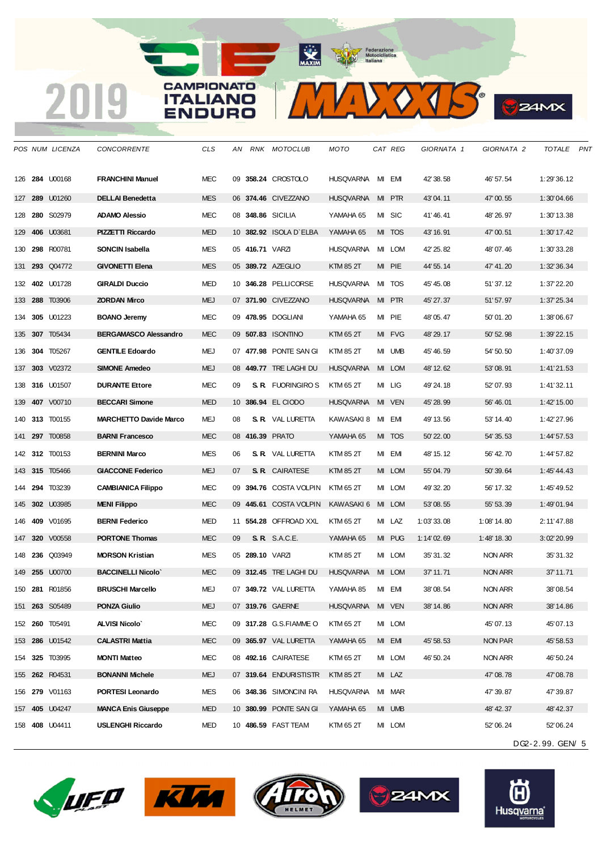2019

MAXXXIS

MAXIM Pederazione

**B**Z4MX

|     |     | POS NUM LICENZA       | <i>CONCORRENTE</i>            | CLS        | AN | RNK            | MOTOCLUB                  | мото             |    | <i>CAT REG</i> | GIORNATA 1 | GIORNATA 2    | TOTALE           | PNT |
|-----|-----|-----------------------|-------------------------------|------------|----|----------------|---------------------------|------------------|----|----------------|------------|---------------|------------------|-----|
| 126 |     | <b>284 U00168</b>     | <b>FRANCHINI Manuel</b>       | <b>MEC</b> |    |                | 09 358.24 CROSTOLO        | <b>HUSQVARNA</b> |    | MI EMI         | 42' 38.58  | 46' 57.54     | 1:29'36.12       |     |
| 127 |     | 289 U01260            | <b>DELLAI Benedetta</b>       | <b>MES</b> |    |                | 06 374.46 CIVEZZANO       | <b>HUSQVARNA</b> | MI | <b>PTR</b>     | 43'04.11   | 47'00.55      | 1:30'04.66       |     |
| 128 |     | 280 S02979            | <b>ADAMO Alessio</b>          | <b>MEC</b> |    |                | 08 348.86 SICILIA         | YAMAHA 65        |    | MI SIC         | 41'46.41   | 48' 26.97     | 1:30'13.38       |     |
| 129 | 406 | U03681                | PIZZETTI Riccardo             | <b>MED</b> |    |                | 10 382.92 ISOLA D'ELBA    | YAMAHA 65        |    | MI TOS         | 43' 16.91  | 47'00.51      | $1:30'$ 17.42    |     |
| 130 |     | 298 R00781            | SONCIN Isabella               | <b>MES</b> |    | 05 416.71 VARZ |                           | <b>HUSQVARNA</b> |    | MI LOM         | 42' 25.82  | 48'07.46      | 1:30'33.28       |     |
| 131 |     | 293 Q04772            | <b>GIVONETTI Elena</b>        | <b>MES</b> |    |                | 05 389.72 AZEGLIO         | <b>KTM 85 2T</b> |    | MI PIE         | 44' 55.14  | 47' 41.20     | 1:32'36.34       |     |
|     |     | 132 402 U01728        | <b>GIRALDI Duccio</b>         | <b>MED</b> |    |                | 10 346.28 PELLICORSE      | <b>HUSQVARNA</b> |    | MI TOS         | 45' 45.08  | 51' 37.12     | 1:37'22.20       |     |
|     |     | 133 <b>288</b> T03906 | <b>ZORDAN Mirco</b>           | <b>MEJ</b> |    |                | 07 371.90 CIVEZZANO       | <b>HUSQVARNA</b> |    | MI PTR         | 45' 27.37  | 51' 57.97     | 1:37'25.34       |     |
| 134 | 305 | U01223                | <b>BOANO Jeremy</b>           | <b>MEC</b> |    |                | 09 478.95 DOGLIANI        | YAMAHA 65        |    | MI PIE         | 48' 05.47  | 50'01.20      | 1:38'06.67       |     |
| 135 | 307 | T05434                | <b>BERGAMASCO Alessandro</b>  | <b>MEC</b> |    |                | 09 507.83 ISONTINO        | KTM 65 2T        |    | MI FVG         | 48' 29.17  | 50' 52.98     | 1:39'22.15       |     |
| 136 | 304 | T05267                | <b>GENTILE Edoardo</b>        | MEJ        |    |                | 07 477.98 PONTE SAN GI    | KTM 85 2T        | MI | UMB            | 45' 46.59  | 54' 50.50     | 1:40'37.09       |     |
| 137 |     | 303 V02372            | <b>SIMONE Amedeo</b>          | <b>MEJ</b> |    |                | 08 449.77 TRE LAGHI DU    | <b>HUSQVARNA</b> |    | MI LOM         | 48' 12.62  | 53'08.91      | 1:41'21.53       |     |
| 138 |     | 316 U01507            | <b>DURANTE Ettore</b>         | <b>MEC</b> | 09 |                | <b>S. R.</b> FUORINGIRO S | KTM 65 2T        |    | MI LIG         | 49' 24.18  | 52' 07.93     | 1:41'32.11       |     |
| 139 |     | 407 V00710            | <b>BECCARI Simone</b>         | <b>MED</b> |    |                | 10 386.94 EL CIODO        | <b>HUSQVARNA</b> | MI | <b>VEN</b>     | 45' 28.99  | 56' 46.01     | 1:42'15.00       |     |
| 140 |     | 313 T00155            | <b>MARCHETTO Davide Marco</b> | MEJ        | 08 |                | <b>S. R.</b> VAL LURETTA  | KAWASAKI 8       | MI | EM             | 49' 13.56  | 53' 14.40     | 1:42'27.96       |     |
| 141 | 297 | T00858                | <b>BARNI Francesco</b>        | <b>MEC</b> |    |                | 08 416.39 PRATO           | YAMAHA 65        | MI | TOS            | 50' 22.00  | 54' 35.53     | 1:44'57.53       |     |
|     |     | 142 312 T00153        | <b>BERNINI Marco</b>          | <b>MES</b> | 06 |                | <b>S. R.</b> VAL LURETTA  | KTM 85 2T        |    | MI EMI         | 48' 15.12  | 56' 42.70     | 1:44'57.82       |     |
|     |     | 143 315 T05466        | <b>GIACCONE Federico</b>      | <b>MEJ</b> | 07 |                | <b>S. R.</b> CAIRATESE    | KTM 85 2T        |    | MI LOM         | 55'04.79   | 50' 39.64     | 1:45'44.43       |     |
| 144 | 294 | T03239                | <b>CAMBIANICA Filippo</b>     | <b>MEC</b> |    |                | 09 394.76 COSTA VOLPIN    | KTM 65 2T        |    | MI LOM         | 49' 32.20  | 56' 17.32     | 1:45'49.52       |     |
|     |     | 145 302 U03985        | <b>MENI Filippo</b>           | <b>MEC</b> |    |                | 09 445.61 COSTA VOLPIN    | KAWASAKI 6       |    | MI LOM         | 53'08.55   | 55' 53.39     | 1:49'01.94       |     |
| 146 | 409 | V01695                | <b>BERNI Federico</b>         | <b>MED</b> |    |                | 11 554.28 OFFROAD XXL     | KTM 65 2T        |    | MI LAZ         | 1:03'33.08 | $1:08'$ 14.80 | 2:11'47.88       |     |
| 147 |     | 320 V00558            | <b>PORTONE Thomas</b>         | <b>MEC</b> | 09 |                | S.R. S.A.C.E.             | YAMAHA 65        |    | MI PUG         | 1:14'02.69 | $1:48'$ 18.30 | 3:02'20.99       |     |
| 148 |     | <b>236 Q03949</b>     | <b>MORSON Kristian</b>        | <b>MES</b> |    | 05 289.10 VARZ |                           | KTM 85 2T        |    | MI LOM         | 35' 31.32  | NON ARR       | 35'31.32         |     |
| 149 |     | 255 U00700            | <b>BACCINELLI Nicolo</b>      | <b>MEC</b> |    |                | 09 312.45 TRE LAGHI DU    | <b>HUSQVARNA</b> | MI | <b>LOM</b>     | 37' 11.71  | NON ARR       | 37'11.71         |     |
|     |     | 150 281 R01856        | <b>BRUSCHI Marcello</b>       | MEJ        |    |                | 07 349.72 VAL LURETTA     | YAMAHA 85        |    | MI EMI         | 38'08.54   | NON ARR       | 38'08.54         |     |
|     |     | 151 263 S05489        | <b>PONZA Giulio</b>           | <b>MEJ</b> |    |                | 07 319.76 GAERNE          | <b>HUSQVARNA</b> |    | MI VEN         | 38' 14.86  | NON ARR       | 38'14.86         |     |
|     |     | 152 260 T05491        | <b>ALVISI Nicolo'</b>         | MEC        |    |                | 09 317.28 G.S.FIAMME O    | KTM 65 2T        |    | MI LOM         |            | 45' 07.13     | 45'07.13         |     |
|     |     | 153 286 U01542        | <b>CALASTRI Mattia</b>        | <b>MEC</b> |    |                | 09 365.97 VAL LURETTA     | YAMAHA 65        |    | MI EMI         | 45' 58.53  | NON PAR       | 45'58.53         |     |
|     |     | 154 325 T03995        | <b>MONTI Matteo</b>           | MEC        |    |                | 08 492.16 CAIRATESE       | KTM 65 2T        |    | MI LOM         | 46' 50.24  | NON ARR       | 46'50.24         |     |
|     |     | 155 262 R04531        | <b>BONANNI Michele</b>        | MEJ        |    |                | 07 319.64 ENDURISTISTR    | KTM 85 2T        |    | MI LAZ         |            | 47'08.78      | 47'08.78         |     |
|     |     | 156 279 V01163        | <b>PORTESI Leonardo</b>       | MES        |    |                | 06 348.36 SIMONCINI RA    | <b>HUSQVARNA</b> |    | MI MAR         |            | 47' 39.87     | 47'39.87         |     |
|     |     | 157 405 U04247        | <b>MANCA Enis Giuseppe</b>    | <b>MED</b> |    |                | 10 380.99 PONTE SAN GI    | YAMAHA 65        |    | MI UMB         |            | 48' 42.37     | 48'42.37         |     |
|     |     | 158 408 U04411        | <b>USLENGHI Riccardo</b>      | MED        |    |                | 10 486.59 FAST TEAM       | KTM 65 2T        |    | MI LOM         |            | 52' 06.24     | 52'06.24         |     |
|     |     |                       |                               |            |    |                |                           |                  |    |                |            |               | DG2-2.99. GEN/ 5 |     |